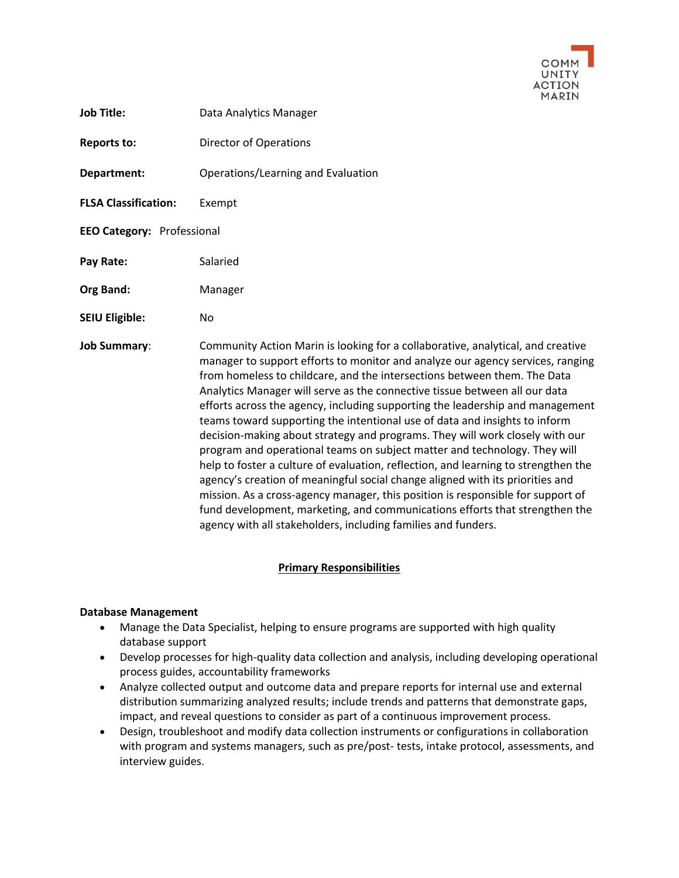

- **Job Title:** Data Analytics Manager
- **Reports to:** Director of Operations
- **Department:** Operations/Learning and Evaluation
- **FLSA Classification:** Exempt
- **EEO Category:** Professional
- Pay Rate: Salaried
- **Org Band:** Manager
- **SEIU Eligible:** No

**Job Summary**: Community Action Marin is looking for a collaborative, analytical, and creative manager to support efforts to monitor and analyze our agency services, ranging from homeless to childcare, and the intersections between them. The Data Analytics Manager will serve as the connective tissue between all our data efforts across the agency, including supporting the leadership and management teams toward supporting the intentional use of data and insights to inform decision-making about strategy and programs. They will work closely with our program and operational teams on subject matter and technology. They will help to foster a culture of evaluation, reflection, and learning to strengthen the agency's creation of meaningful social change aligned with its priorities and mission. As a cross-agency manager, this position is responsible for support of fund development, marketing, and communications efforts that strengthen the agency with all stakeholders, including families and funders.

### **Primary Responsibilities**

### **Database Management**

- Manage the Data Specialist, helping to ensure programs are supported with high quality database support
- Develop processes for high-quality data collection and analysis, including developing operational process guides, accountability frameworks
- Analyze collected output and outcome data and prepare reports for internal use and external distribution summarizing analyzed results; include trends and patterns that demonstrate gaps, impact, and reveal questions to consider as part of a continuous improvement process.
- Design, troubleshoot and modify data collection instruments or configurations in collaboration with program and systems managers, such as pre/post- tests, intake protocol, assessments, and interview guides.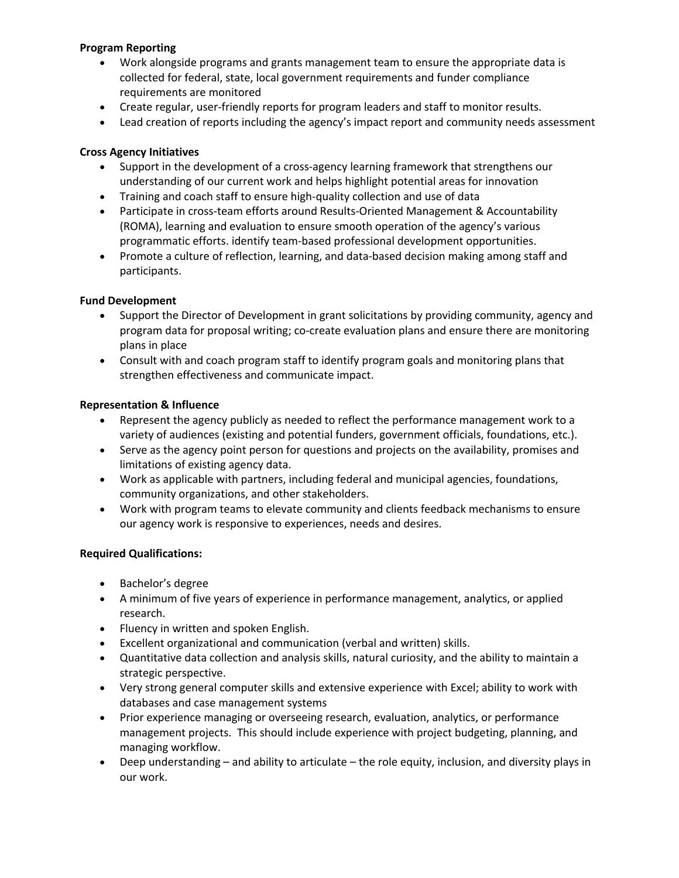## **Program Reporting**

- Work alongside programs and grants management team to ensure the appropriate data is collected for federal, state, local government requirements and funder compliance requirements are monitored
- Create regular, user-friendly reports for program leaders and staff to monitor results.
- Lead creation of reports including the agency's impact report and community needs assessment

# **Cross Agency Initiatives**

- Support in the development of a cross-agency learning framework that strengthens our understanding of our current work and helps highlight potential areas for innovation
- Training and coach staff to ensure high-quality collection and use of data
- Participate in cross-team efforts around Results-Oriented Management & Accountability (ROMA), learning and evaluation to ensure smooth operation of the agency's various programmatic efforts. identify team-based professional development opportunities.
- Promote a culture of reflection, learning, and data-based decision making among staff and participants.

## **Fund Development**

- Support the Director of Development in grant solicitations by providing community, agency and program data for proposal writing; co-create evaluation plans and ensure there are monitoring plans in place
- Consult with and coach program staff to identify program goals and monitoring plans that strengthen effectiveness and communicate impact.

## **Representation & Influence**

- Represent the agency publicly as needed to reflect the performance management work to a variety of audiences (existing and potential funders, government officials, foundations, etc.).
- Serve as the agency point person for questions and projects on the availability, promises and limitations of existing agency data.
- Work as applicable with partners, including federal and municipal agencies, foundations, community organizations, and other stakeholders.
- Work with program teams to elevate community and clients feedback mechanisms to ensure our agency work is responsive to experiences, needs and desires.

# **Required Qualifications:**

- Bachelor's degree
- A minimum of five years of experience in performance management, analytics, or applied research.
- Fluency in written and spoken English.
- Excellent organizational and communication (verbal and written) skills.
- Quantitative data collection and analysis skills, natural curiosity, and the ability to maintain a strategic perspective.
- Very strong general computer skills and extensive experience with Excel; ability to work with databases and case management systems
- Prior experience managing or overseeing research, evaluation, analytics, or performance management projects. This should include experience with project budgeting, planning, and managing workflow.
- Deep understanding and ability to articulate the role equity, inclusion, and diversity plays in our work.